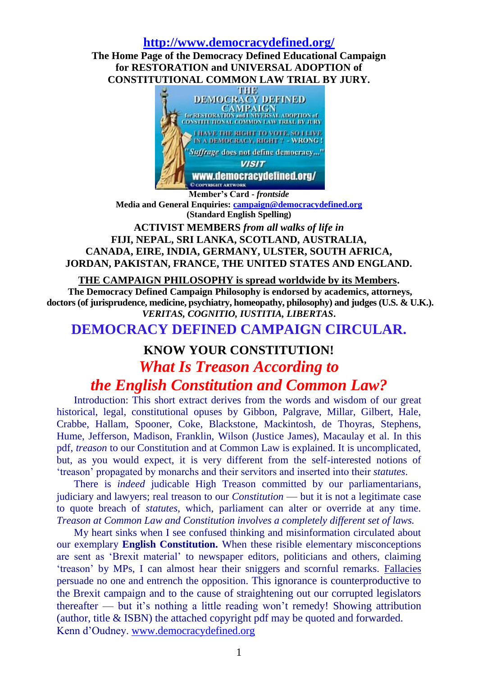## **<http://www.democracydefined.org/>**

**The Home Page of the Democracy Defined Educational Campaign for RESTORATION and UNIVERSAL ADOPTION of**



**Member's Card -** *frontside* **Media and General Enquiries: [campaign@democracydefined.org](mailto:campaign@democracydefined.org) (Standard English Spelling)**

# **ACTIVIST MEMBERS** *from all walks of life in* **FIJI, NEPAL, SRI LANKA, SCOTLAND, AUSTRALIA, CANADA, EIRE, INDIA, GERMANY, ULSTER, SOUTH AFRICA, JORDAN, PAKISTAN, FRANCE, THE UNITED STATES AND ENGLAND.**

## **[THE CAMPAIGN PHILOSOPHY is spread worldwide by its Members.](http://www.democracydefined.org/democracydefinedcampaign.htm)**

**The Democracy Defined Campaign Philosophy is endorsed by academics, attorneys, doctors (of jurisprudence, medicine, psychiatry, homeopathy, philosophy) and judges (U.S. & U.K.).** *VERITAS, COGNITIO, IUSTITIA, LIBERTAS***.**

# **DEMOCRACY DEFINED CAMPAIGN CIRCULAR.**

# **KNOW YOUR CONSTITUTION!**

# *What Is Treason According to*

# *the English Constitution and Common Law?*

Introduction: This short extract derives from the words and wisdom of our great historical, legal, constitutional opuses by Gibbon, Palgrave, Millar, Gilbert, Hale, Crabbe, Hallam, Spooner, Coke, Blackstone, Mackintosh, de Thoyras, Stephens, Hume, Jefferson, Madison, Franklin, Wilson (Justice James), Macaulay et al. In this pdf, *treason* to our Constitution and at Common Law is explained. It is uncomplicated, but, as you would expect, it is very different from the self-interested notions of 'treason' propagated by monarchs and their servitors and inserted into their *statutes*.

There is *indeed* judicable High Treason committed by our parliamentarians, judiciary and lawyers; real treason to our *Constitution* — but it is not a legitimate case to quote breach of *statutes*, which, parliament can alter or override at any time. *Treason at Common Law and Constitution involves a completely different set of laws.* 

My heart sinks when I see confused thinking and misinformation circulated about our exemplary **English Constitution.** When these risible elementary misconceptions are sent as 'Brexit material' to newspaper editors, politicians and others, claiming 'treason' by MPs, I can almost hear their sniggers and scornful remarks. Fallacies persuade no one and entrench the opposition. This ignorance is counterproductive to the Brexit campaign and to the cause of straightening out our corrupted legislators thereafter — but it's nothing a little reading won't remedy! Showing attribution (author, title & ISBN) the attached copyright pdf may be quoted and forwarded. Kenn d'Oudney. [www.democracydefined.org](http://www.democracydefined.org/)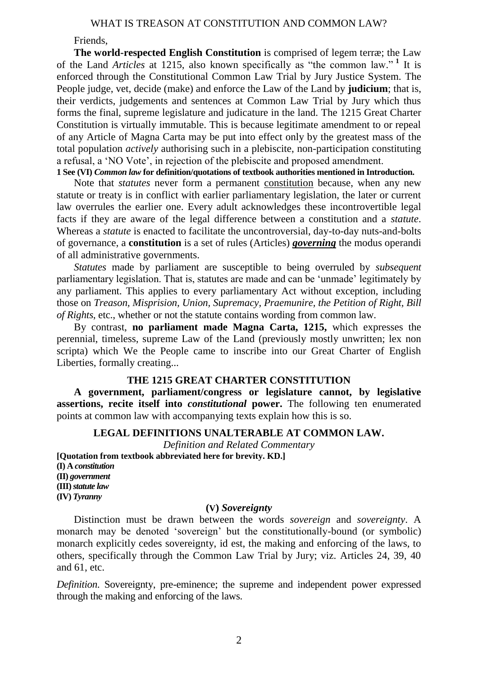Friends,

**The world-respected English Constitution** is comprised of legem terræ; the Law of the Land *Articles* at 1215, also known specifically as "the common law."<sup>1</sup> It is enforced through the Constitutional Common Law Trial by Jury Justice System. The People judge, vet, decide (make) and enforce the Law of the Land by **judicium**; that is, their verdicts, judgements and sentences at Common Law Trial by Jury which thus forms the final, supreme legislature and judicature in the land. The 1215 Great Charter Constitution is virtually immutable. This is because legitimate amendment to or repeal of any Article of Magna Carta may be put into effect only by the greatest mass of the total population *actively* authorising such in a plebiscite, non-participation constituting a refusal, a 'NO Vote', in rejection of the plebiscite and proposed amendment.

**1 See (VI)** *Common law* **for definition/quotations of textbook authorities mentioned in Introduction.**

Note that *statutes* never form a permanent constitution because, when any new statute or treaty is in conflict with earlier parliamentary legislation, the later or current law overrules the earlier one. Every adult acknowledges these incontrovertible legal facts if they are aware of the legal difference between a constitution and a *statute*. Whereas a *statute* is enacted to facilitate the uncontroversial, day-to-day nuts-and-bolts of governance, a **constitution** is a set of rules (Articles) *governing* the modus operandi of all administrative governments.

*Statutes* made by parliament are susceptible to being overruled by *subsequent* parliamentary legislation. That is, statutes are made and can be 'unmade' legitimately by any parliament. This applies to every parliamentary Act without exception, including those on *Treason, Misprision, Union, Supremacy, Praemunire, the Petition of Right, Bill of Rights*, etc., whether or not the statute contains wording from common law.

By contrast, **no parliament made Magna Carta, 1215,** which expresses the perennial, timeless, supreme Law of the Land (previously mostly unwritten; lex non scripta) which We the People came to inscribe into our Great Charter of English Liberties, formally creating...

# **THE 1215 GREAT CHARTER CONSTITUTION**

**A government, parliament/congress or legislature cannot, by legislative assertions, recite itself into** *constitutional* **power.** The following ten enumerated points at common law with accompanying texts explain how this is so.

## **LEGAL DEFINITIONS UNALTERABLE AT COMMON LAW.**

*Definition and Related Commentary*

**[Quotation from textbook abbreviated here for brevity. KD.] (I) A** *constitution* **(II)** *government* **(III)** *statute law* **(IV)** *Tyranny*

## **(V)** *Sovereignty*

Distinction must be drawn between the words *sovereign* and *sovereignty*. A monarch may be denoted 'sovereign' but the constitutionally-bound (or symbolic) monarch explicitly cedes sovereignty, id est, the making and enforcing of the laws, to others, specifically through the Common Law Trial by Jury; viz. Articles 24, 39, 40 and 61, etc.

*Definition*. Sovereignty, pre-eminence; the supreme and independent power expressed through the making and enforcing of the laws.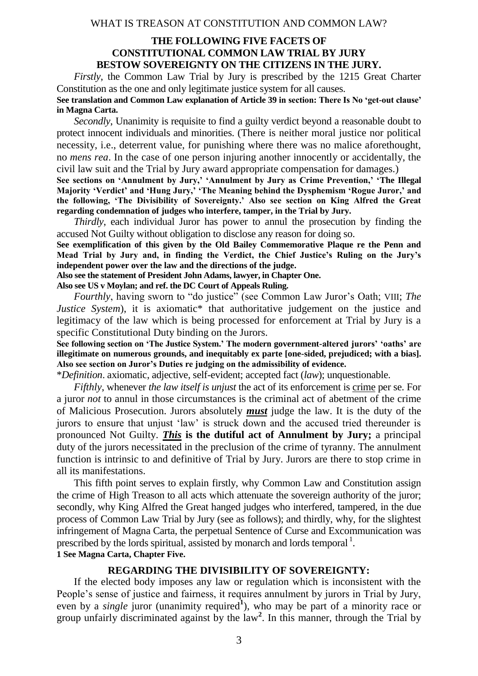## **THE FOLLOWING FIVE FACETS OF CONSTITUTIONAL COMMON LAW TRIAL BY JURY BESTOW SOVEREIGNTY ON THE CITIZENS IN THE JURY.**

*Firstly*, the Common Law Trial by Jury is prescribed by the 1215 Great Charter Constitution as the one and only legitimate justice system for all causes.

**See translation and Common Law explanation of Article 39 in section: There Is No 'get-out clause' in Magna Carta.**

*Secondly*, Unanimity is requisite to find a guilty verdict beyond a reasonable doubt to protect innocent individuals and minorities. (There is neither moral justice nor political necessity, i.e., deterrent value, for punishing where there was no malice aforethought, no *mens rea*. In the case of one person injuring another innocently or accidentally, the civil law suit and the Trial by Jury award appropriate compensation for damages.)

**See sections on 'Annulment by Jury,' 'Annulment by Jury as Crime Prevention,' 'The Illegal Majority 'Verdict' and 'Hung Jury,' 'The Meaning behind the Dysphemism 'Rogue Juror,' and the following, 'The Divisibility of Sovereignty.' Also see section on King Alfred the Great regarding condemnation of judges who interfere, tamper, in the Trial by Jury.**

*Thirdly*, each individual Juror has power to annul the prosecution by finding the accused Not Guilty without obligation to disclose any reason for doing so.

**See exemplification of this given by the Old Bailey Commemorative Plaque re the Penn and Mead Trial by Jury and, in finding the Verdict, the Chief Justice's Ruling on the Jury's independent power over the law and the directions of the judge.**

**Also see the statement of President John Adams, lawyer, in Chapter One.**

**Also see US v Moylan; and ref. the DC Court of Appeals Ruling.**

*Fourthly*, having sworn to "do justice" (see Common Law Juror's Oath; VIII; *The Justice System*), it is axiomatic\* that authoritative judgement on the justice and legitimacy of the law which is being processed for enforcement at Trial by Jury is a specific Constitutional Duty binding on the Jurors.

**See following section on 'The Justice System.' The modern government-altered jurors' 'oaths' are illegitimate on numerous grounds, and inequitably ex parte [one-sided, prejudiced; with a bias]. Also see section on Juror's Duties re judging on the admissibility of evidence.**

\**Definition*. axiomatic, adjective, self-evident; accepted fact (*law*); unquestionable.

*Fifthly*, whenever *the law itself is unjust* the act of its enforcement is crime per se. For a juror *not* to annul in those circumstances is the criminal act of abetment of the crime of Malicious Prosecution. Jurors absolutely *must* judge the law. It is the duty of the jurors to ensure that unjust 'law' is struck down and the accused tried thereunder is pronounced Not Guilty. *This* **is the dutiful act of Annulment by Jury;** a principal duty of the jurors necessitated in the preclusion of the crime of tyranny. The annulment function is intrinsic to and definitive of Trial by Jury. Jurors are there to stop crime in all its manifestations.

This fifth point serves to explain firstly, why Common Law and Constitution assign the crime of High Treason to all acts which attenuate the sovereign authority of the juror; secondly, why King Alfred the Great hanged judges who interfered, tampered, in the due process of Common Law Trial by Jury (see as follows); and thirdly, why, for the slightest infringement of Magna Carta, the perpetual Sentence of Curse and Excommunication was prescribed by the lords spiritual, assisted by monarch and lords temporal  $^1$ .

**1 See Magna Carta, Chapter Five.** 

#### **REGARDING THE DIVISIBILITY OF SOVEREIGNTY:**

If the elected body imposes any law or regulation which is inconsistent with the People's sense of justice and fairness, it requires annulment by jurors in Trial by Jury, even by a *single* juror (unanimity required<sup>1</sup>), who may be part of a minority race or group unfairly discriminated against by the law**<sup>2</sup>** . In this manner, through the Trial by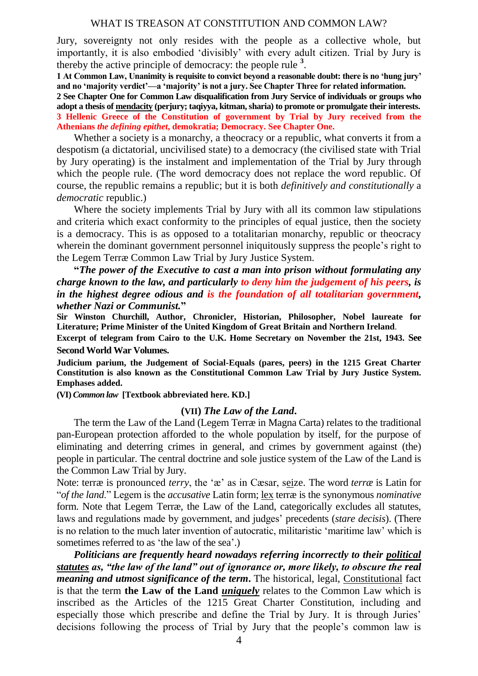Jury, sovereignty not only resides with the people as a collective whole, but importantly, it is also embodied 'divisibly' with every adult citizen. Trial by Jury is thereby the active principle of democracy: the people rule **<sup>3</sup>** .

**1 At Common Law, Unanimity is requisite to convict beyond a reasonable doubt: there is no 'hung jury' and no 'majority verdict'—a 'majority' is not a jury. See Chapter Three for related information.**

**2 See Chapter One for Common Law disqualification from Jury Service of individuals or groups who adopt a thesis of mendacity (perjury; taqiyya, kitman, sharia) to promote or promulgate their interests. 3 Hellenic Greece of the Constitution of government by Trial by Jury received from the Athenians** *the defining epithet***, demokratia; Democracy. See Chapter One.**

Whether a society is a monarchy, a theocracy or a republic, what converts it from a despotism (a dictatorial, uncivilised state) to a democracy (the civilised state with Trial by Jury operating) is the instalment and implementation of the Trial by Jury through which the people rule. (The word democracy does not replace the word republic. Of course, the republic remains a republic; but it is both *definitively and constitutionally* a *democratic* republic.)

Where the society implements Trial by Jury with all its common law stipulations and criteria which exact conformity to the principles of equal justice, then the society is a democracy. This is as opposed to a totalitarian monarchy, republic or theocracy wherein the dominant government personnel iniquitously suppress the people's right to the Legem Terræ Common Law Trial by Jury Justice System.

**"***The power of the Executive to cast a man into prison without formulating any charge known to the law, and particularly to deny him the judgement of his peers, is in the highest degree odious and is the foundation of all totalitarian government, whether Nazi or Communist.***"**

**Sir Winston Churchill, Author, Chronicler, Historian, Philosopher, Nobel laureate for Literature; Prime Minister of the United Kingdom of Great Britain and Northern Ireland**.

**Excerpt of telegram from Cairo to the U.K. Home Secretary on November the 21st, 1943. See Second World War Volumes.**

**Judicium parium, the Judgement of Social-Equals (pares, peers) in the 1215 Great Charter Constitution is also known as the Constitutional Common Law Trial by Jury Justice System. Emphases added.**

**(VI)** *Common law* **[Textbook abbreviated here. KD.]**

#### **(VII)** *The Law of the Land***.**

The term the Law of the Land (Legem Terræ in Magna Carta) relates to the traditional pan-European protection afforded to the whole population by itself, for the purpose of eliminating and deterring crimes in general, and crimes by government against (the) people in particular. The central doctrine and sole justice system of the Law of the Land is the Common Law Trial by Jury.

Note: terræ is pronounced *terry*, the 'æ' as in Cæsar, seize. The word *terræ* is Latin for "*of the land*." Legem is the *accusative* Latin form; lex terræ is the synonymous *nominative* form. Note that Legem Terræ, the Law of the Land, categorically excludes all statutes, laws and regulations made by government, and judges' precedents (*stare decisis*). (There is no relation to the much later invention of autocratic, militaristic 'maritime law' which is sometimes referred to as 'the law of the sea'.)

*Politicians are frequently heard nowadays referring incorrectly to their political statutes as, "the law of the land" out of ignorance or, more likely, to obscure the real meaning and utmost significance of the term***.** The historical, legal, Constitutional fact is that the term **the Law of the Land** *uniquely* relates to the Common Law which is inscribed as the Articles of the 1215 Great Charter Constitution, including and especially those which prescribe and define the Trial by Jury. It is through Juries' decisions following the process of Trial by Jury that the people's common law is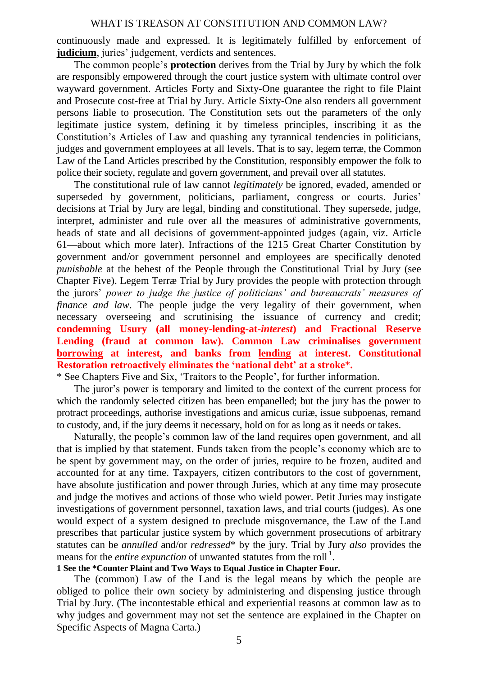continuously made and expressed. It is legitimately fulfilled by enforcement of **judicium**, juries' judgement, verdicts and sentences.

The common people's **protection** derives from the Trial by Jury by which the folk are responsibly empowered through the court justice system with ultimate control over wayward government. Articles Forty and Sixty-One guarantee the right to file Plaint and Prosecute cost-free at Trial by Jury. Article Sixty-One also renders all government persons liable to prosecution. The Constitution sets out the parameters of the only legitimate justice system, defining it by timeless principles, inscribing it as the Constitution's Articles of Law and quashing any tyrannical tendencies in politicians, judges and government employees at all levels. That is to say, legem terræ, the Common Law of the Land Articles prescribed by the Constitution, responsibly empower the folk to police their society, regulate and govern government, and prevail over all statutes.

The constitutional rule of law cannot *legitimately* be ignored, evaded, amended or superseded by government, politicians, parliament, congress or courts. Juries' decisions at Trial by Jury are legal, binding and constitutional. They supersede, judge, interpret, administer and rule over all the measures of administrative governments, heads of state and all decisions of government-appointed judges (again, viz. Article 61—about which more later). Infractions of the 1215 Great Charter Constitution by government and/or government personnel and employees are specifically denoted *punishable* at the behest of the People through the Constitutional Trial by Jury (see Chapter Five). Legem Terræ Trial by Jury provides the people with protection through the jurors' *power to judge the justice of politicians' and bureaucrats' measures of finance and law*. The people judge the very legality of their government, when necessary overseeing and scrutinising the issuance of currency and credit; **condemning Usury (all money-lending-at-***interest***) and Fractional Reserve Lending (fraud at common law). Common Law criminalises government borrowing at interest, and banks from lending at interest. Constitutional Restoration retroactively eliminates the 'national debt' at a stroke**\***.**

\* See Chapters Five and Six, 'Traitors to the People', for further information.

The juror's power is temporary and limited to the context of the current process for which the randomly selected citizen has been empanelled; but the jury has the power to protract proceedings, authorise investigations and amicus curiæ, issue subpoenas, remand to custody, and, if the jury deems it necessary, hold on for as long as it needs or takes.

Naturally, the people's common law of the land requires open government, and all that is implied by that statement. Funds taken from the people's economy which are to be spent by government may, on the order of juries, require to be frozen, audited and accounted for at any time. Taxpayers, citizen contributors to the cost of government, have absolute justification and power through Juries, which at any time may prosecute and judge the motives and actions of those who wield power. Petit Juries may instigate investigations of government personnel, taxation laws, and trial courts (judges). As one would expect of a system designed to preclude misgovernance, the Law of the Land prescribes that particular justice system by which government prosecutions of arbitrary statutes can be *annulled* and/or *redressed*\* by the jury. Trial by Jury *also* provides the means for the *entire expunction* of unwanted statutes from the roll<sup>1</sup>.

### **1 See the \*Counter Plaint and Two Ways to Equal Justice in Chapter Four.**

The (common) Law of the Land is the legal means by which the people are obliged to police their own society by administering and dispensing justice through Trial by Jury. (The incontestable ethical and experiential reasons at common law as to why judges and government may not set the sentence are explained in the Chapter on Specific Aspects of Magna Carta.)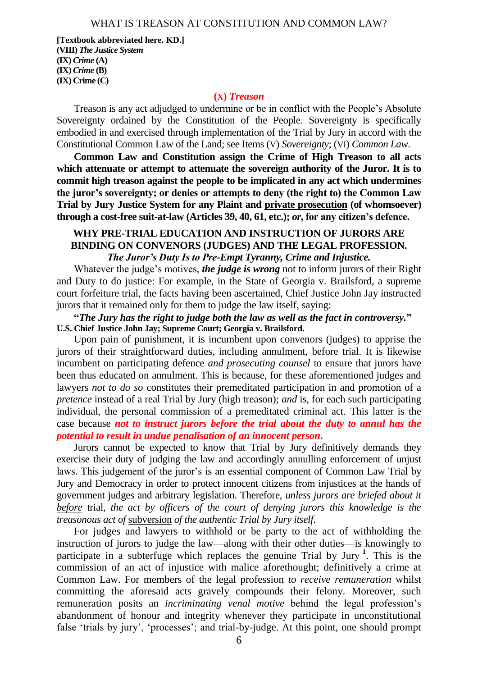**[Textbook abbreviated here. KD.] (VIII)** *The Justice System* **(IX)** *Crime* **(A) (IX)** *Crime* **(B) (IX) Crime (C)**

#### **(X)** *Treason*

Treason is any act adjudged to undermine or be in conflict with the People's Absolute Sovereignty ordained by the Constitution of the People. Sovereignty is specifically embodied in and exercised through implementation of the Trial by Jury in accord with the Constitutional Common Law of the Land; see Items (V) *Sovereignty*; (VI) *Common Law*.

**Common Law and Constitution assign the Crime of High Treason to all acts which attenuate or attempt to attenuate the sovereign authority of the Juror. It is to commit high treason against the people to be implicated in any act which undermines the juror's sovereignty; or denies or attempts to deny (the right to) the Common Law Trial by Jury Justice System for any Plaint and private prosecution (of whomsoever) through a cost-free suit-at-law (Articles 39, 40, 61, etc.);** *or***, for any citizen's defence.**

## **WHY PRE-TRIAL EDUCATION AND INSTRUCTION OF JURORS ARE BINDING ON CONVENORS (JUDGES) AND THE LEGAL PROFESSION.** *The Juror's Duty Is to Pre-Empt Tyranny, Crime and Injustice.*

Whatever the judge's motives, *the judge is wrong* not to inform jurors of their Right and Duty to do justice: For example, in the State of Georgia v. Brailsford, a supreme court forfeiture trial, the facts having been ascertained, Chief Justice John Jay instructed jurors that it remained only for them to judge the law itself, saying:

**"***The Jury has the right to judge both the law as well as the fact in controversy.***" U.S. Chief Justice John Jay; Supreme Court; Georgia v. Brailsford.**

Upon pain of punishment, it is incumbent upon convenors (judges) to apprise the jurors of their straightforward duties, including annulment, before trial. It is likewise incumbent on participating defence *and prosecuting counsel* to ensure that jurors have been thus educated on annulment. This is because, for these aforementioned judges and lawyers *not to do so* constitutes their premeditated participation in and promotion of a *pretence* instead of a real Trial by Jury (high treason); *and* is, for each such participating individual, the personal commission of a premeditated criminal act. This latter is the case because *not to instruct jurors before the trial about the duty to annul has the potential to result in undue penalisation of an innocent person***.**

Jurors cannot be expected to know that Trial by Jury definitively demands they exercise their duty of judging the law and accordingly annulling enforcement of unjust laws. This judgement of the juror's is an essential component of Common Law Trial by Jury and Democracy in order to protect innocent citizens from injustices at the hands of government judges and arbitrary legislation. Therefore, *unless jurors are briefed about it before* trial, *the act by officers of the court of denying jurors this knowledge is the treasonous act of* subversion *of the authentic Trial by Jury itself*.

For judges and lawyers to withhold or be party to the act of withholding the instruction of jurors to judge the law—along with their other duties—is knowingly to participate in a subterfuge which replaces the genuine Trial by Jury **<sup>1</sup>** . This is the commission of an act of injustice with malice aforethought; definitively a crime at Common Law. For members of the legal profession *to receive remuneration* whilst committing the aforesaid acts gravely compounds their felony. Moreover, such remuneration posits an *incriminating venal motive* behind the legal profession's abandonment of honour and integrity whenever they participate in unconstitutional false 'trials by jury', 'processes'; and trial-by-judge. At this point, one should prompt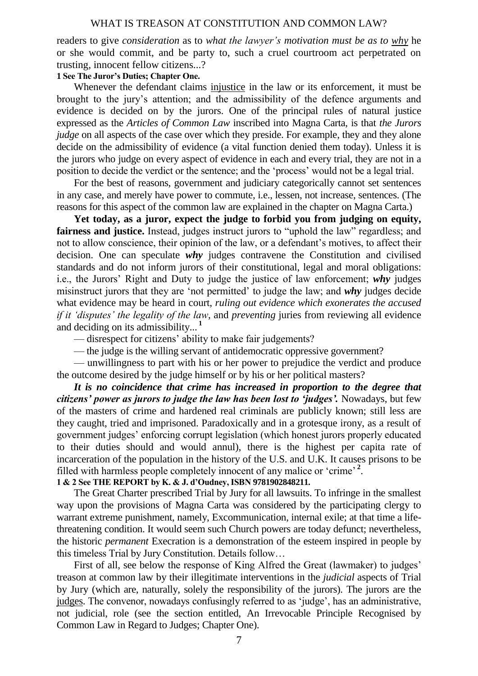readers to give *consideration* as to *what the lawyer's motivation must be as to why* he or she would commit, and be party to, such a cruel courtroom act perpetrated on trusting, innocent fellow citizens...?

## **1 See The Juror's Duties; Chapter One.**

Whenever the defendant claims injustice in the law or its enforcement, it must be brought to the jury's attention; and the admissibility of the defence arguments and evidence is decided on by the jurors. One of the principal rules of natural justice expressed as the *Articles of Common Law* inscribed into Magna Carta, is that *the Jurors judge* on all aspects of the case over which they preside. For example, they and they alone decide on the admissibility of evidence (a vital function denied them today). Unless it is the jurors who judge on every aspect of evidence in each and every trial, they are not in a position to decide the verdict or the sentence; and the 'process' would not be a legal trial.

For the best of reasons, government and judiciary categorically cannot set sentences in any case, and merely have power to commute, i.e., lessen, not increase, sentences. (The reasons for this aspect of the common law are explained in the chapter on Magna Carta.)

Yet today, as a juror, expect the judge to forbid you from judging on equity. **fairness and justice.** Instead, judges instruct jurors to "uphold the law" regardless; and not to allow conscience, their opinion of the law, or a defendant's motives, to affect their decision. One can speculate *why* judges contravene the Constitution and civilised standards and do not inform jurors of their constitutional, legal and moral obligations: i.e., the Jurors' Right and Duty to judge the justice of law enforcement; *why* judges misinstruct jurors that they are 'not permitted' to judge the law; and *why* judges decide what evidence may be heard in court, *ruling out evidence which exonerates the accused if it 'disputes' the legality of the law*, and *preventing* juries from reviewing all evidence and deciding on its admissibility... **<sup>1</sup>**

— disrespect for citizens' ability to make fair judgements?

— the judge is the willing servant of antidemocratic oppressive government?

— unwillingness to part with his or her power to prejudice the verdict and produce the outcome desired by the judge himself or by his or her political masters?

*It is no coincidence that crime has increased in proportion to the degree that citizens' power as jurors to judge the law has been lost to 'judges'.* Nowadays, but few of the masters of crime and hardened real criminals are publicly known; still less are they caught, tried and imprisoned. Paradoxically and in a grotesque irony, as a result of government judges' enforcing corrupt legislation (which honest jurors properly educated to their duties should and would annul), there is the highest per capita rate of incarceration of the population in the history of the U.S. and U.K. It causes prisons to be filled with harmless people completely innocent of any malice or 'crime' **<sup>2</sup>** .

## **1 & 2 See THE REPORT by K. & J. d'Oudney, ISBN 9781902848211.**

The Great Charter prescribed Trial by Jury for all lawsuits. To infringe in the smallest way upon the provisions of Magna Carta was considered by the participating clergy to warrant extreme punishment, namely, Excommunication, internal exile; at that time a lifethreatening condition. It would seem such Church powers are today defunct; nevertheless, the historic *permanent* Execration is a demonstration of the esteem inspired in people by this timeless Trial by Jury Constitution. Details follow…

First of all, see below the response of King Alfred the Great (lawmaker) to judges' treason at common law by their illegitimate interventions in the *judicial* aspects of Trial by Jury (which are, naturally, solely the responsibility of the jurors). The jurors are the judges. The convenor, nowadays confusingly referred to as 'judge', has an administrative, not judicial, role (see the section entitled, An Irrevocable Principle Recognised by Common Law in Regard to Judges; Chapter One).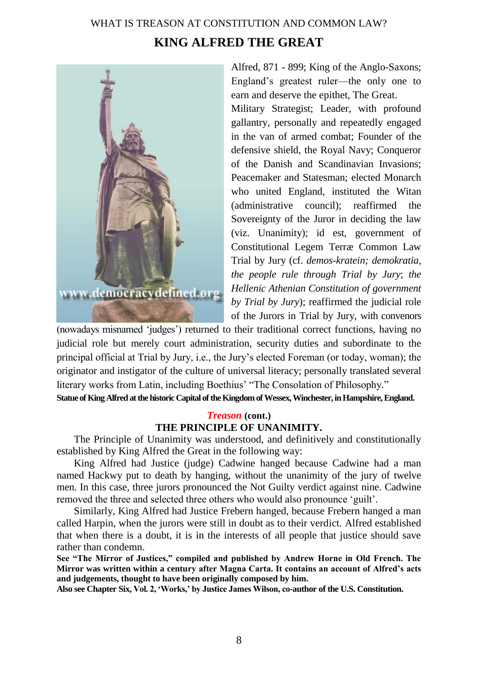# WHAT IS TREASON AT CONSTITUTION AND COMMON LAW? **KING ALFRED THE GREAT**



Alfred, 871 - 899; King of the Anglo-Saxons; England's greatest ruler—the only one to earn and deserve the epithet, The Great.

Military Strategist; Leader, with profound gallantry, personally and repeatedly engaged in the van of armed combat; Founder of the defensive shield, the Royal Navy; Conqueror of the Danish and Scandinavian Invasions; Peacemaker and Statesman; elected Monarch who united England, instituted the Witan (administrative council); reaffirmed the Sovereignty of the Juror in deciding the law (viz. Unanimity); id est, government of Constitutional Legem Terræ Common Law Trial by Jury (cf. *demos-kratein; demokratia, the people rule through Trial by Jury*; *the Hellenic Athenian Constitution of government by Trial by Jury*); reaffirmed the judicial role of the Jurors in Trial by Jury, with convenors

(nowadays misnamed 'judges') returned to their traditional correct functions, having no judicial role but merely court administration, security duties and subordinate to the principal official at Trial by Jury, i.e., the Jury's elected Foreman (or today, woman); the originator and instigator of the culture of universal literacy; personally translated several literary works from Latin, including Boethius' "The Consolation of Philosophy." **Statue of King Alfred at the historic Capital of the Kingdom of Wessex, Winchester, in Hampshire, England.**

## *Treason* **(cont.) THE PRINCIPLE OF UNANIMITY.**

The Principle of Unanimity was understood, and definitively and constitutionally established by King Alfred the Great in the following way:

King Alfred had Justice (judge) Cadwine hanged because Cadwine had a man named Hackwy put to death by hanging, without the unanimity of the jury of twelve men. In this case, three jurors pronounced the Not Guilty verdict against nine. Cadwine removed the three and selected three others who would also pronounce 'guilt'.

Similarly, King Alfred had Justice Frebern hanged, because Frebern hanged a man called Harpin, when the jurors were still in doubt as to their verdict. Alfred established that when there is a doubt, it is in the interests of all people that justice should save rather than condemn.

**See "The Mirror of Justices," compiled and published by Andrew Horne in Old French. The Mirror was written within a century after Magna Carta. It contains an account of Alfred's acts and judgements, thought to have been originally composed by him.**

**Also see Chapter Six, Vol. 2, 'Works,' by Justice James Wilson, co-author of the U.S. Constitution.**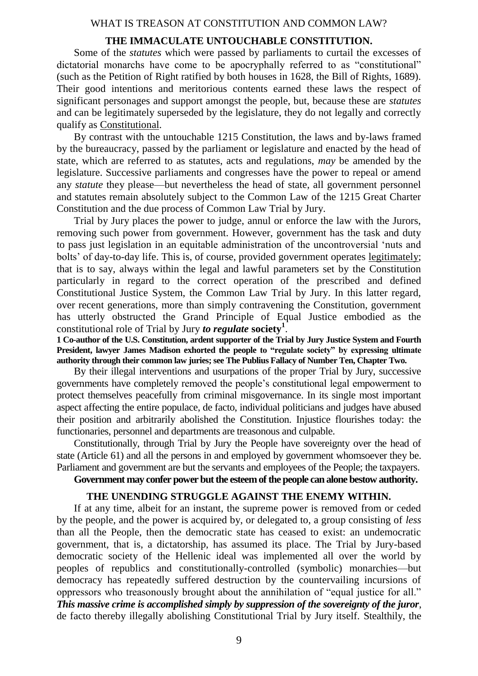### **THE IMMACULATE UNTOUCHABLE CONSTITUTION.**

Some of the *statutes* which were passed by parliaments to curtail the excesses of dictatorial monarchs have come to be apocryphally referred to as "constitutional" (such as the Petition of Right ratified by both houses in 1628, the Bill of Rights, 1689). Their good intentions and meritorious contents earned these laws the respect of significant personages and support amongst the people, but, because these are *statutes* and can be legitimately superseded by the legislature, they do not legally and correctly qualify as Constitutional.

By contrast with the untouchable 1215 Constitution, the laws and by-laws framed by the bureaucracy, passed by the parliament or legislature and enacted by the head of state, which are referred to as statutes, acts and regulations, *may* be amended by the legislature. Successive parliaments and congresses have the power to repeal or amend any *statute* they please—but nevertheless the head of state, all government personnel and statutes remain absolutely subject to the Common Law of the 1215 Great Charter Constitution and the due process of Common Law Trial by Jury.

Trial by Jury places the power to judge, annul or enforce the law with the Jurors, removing such power from government. However, government has the task and duty to pass just legislation in an equitable administration of the uncontroversial 'nuts and bolts' of day-to-day life. This is, of course, provided government operates legitimately; that is to say, always within the legal and lawful parameters set by the Constitution particularly in regard to the correct operation of the prescribed and defined Constitutional Justice System, the Common Law Trial by Jury. In this latter regard, over recent generations, more than simply contravening the Constitution, government has utterly obstructed the Grand Principle of Equal Justice embodied as the constitutional role of Trial by Jury *to regulate* **society<sup>1</sup>** .

**1 Co-author of the U.S. Constitution, ardent supporter of the Trial by Jury Justice System and Fourth President, lawyer James Madison exhorted the people to "regulate society" by expressing ultimate authority through their common law juries; see The Publius Fallacy of Number Ten, Chapter Two.**

By their illegal interventions and usurpations of the proper Trial by Jury, successive governments have completely removed the people's constitutional legal empowerment to protect themselves peacefully from criminal misgovernance. In its single most important aspect affecting the entire populace, de facto, individual politicians and judges have abused their position and arbitrarily abolished the Constitution. Injustice flourishes today: the functionaries, personnel and departments are treasonous and culpable.

Constitutionally, through Trial by Jury the People have sovereignty over the head of state (Article 61) and all the persons in and employed by government whomsoever they be. Parliament and government are but the servants and employees of the People; the taxpayers.

## **Government may confer power but the esteem of the people can alone bestow authority.**

## **THE UNENDING STRUGGLE AGAINST THE ENEMY WITHIN.**

If at any time, albeit for an instant, the supreme power is removed from or ceded by the people, and the power is acquired by, or delegated to, a group consisting of *less* than all the People, then the democratic state has ceased to exist: an undemocratic government, that is, a dictatorship, has assumed its place. The Trial by Jury-based democratic society of the Hellenic ideal was implemented all over the world by peoples of republics and constitutionally-controlled (symbolic) monarchies—but democracy has repeatedly suffered destruction by the countervailing incursions of oppressors who treasonously brought about the annihilation of "equal justice for all." *This massive crime is accomplished simply by suppression of the sovereignty of the juror*, de facto thereby illegally abolishing Constitutional Trial by Jury itself. Stealthily, the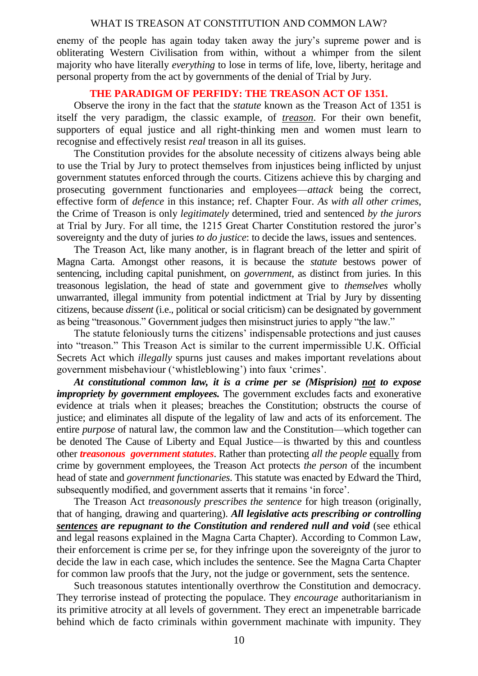enemy of the people has again today taken away the jury's supreme power and is obliterating Western Civilisation from within, without a whimper from the silent majority who have literally *everything* to lose in terms of life, love, liberty, heritage and personal property from the act by governments of the denial of Trial by Jury.

## **THE PARADIGM OF PERFIDY: THE TREASON ACT OF 1351.**

Observe the irony in the fact that the *statute* known as the Treason Act of 1351 is itself the very paradigm, the classic example, of *treason*. For their own benefit, supporters of equal justice and all right-thinking men and women must learn to recognise and effectively resist *real* treason in all its guises.

The Constitution provides for the absolute necessity of citizens always being able to use the Trial by Jury to protect themselves from injustices being inflicted by unjust government statutes enforced through the courts. Citizens achieve this by charging and prosecuting government functionaries and employees—*attack* being the correct, effective form of *defence* in this instance; ref. Chapter Four. *As with all other crimes*, the Crime of Treason is only *legitimately* determined, tried and sentenced *by the jurors* at Trial by Jury. For all time, the 1215 Great Charter Constitution restored the juror's sovereignty and the duty of juries *to do justice*: to decide the laws, issues and sentences.

The Treason Act, like many another, is in flagrant breach of the letter and spirit of Magna Carta. Amongst other reasons, it is because the *statute* bestows power of sentencing, including capital punishment, on *government*, as distinct from juries. In this treasonous legislation, the head of state and government give to *themselves* wholly unwarranted, illegal immunity from potential indictment at Trial by Jury by dissenting citizens, because *dissent* (i.e., political or social criticism) can be designated by government as being "treasonous." Government judges then misinstruct juries to apply "the law."

The statute feloniously turns the citizens' indispensable protections and just causes into "treason." This Treason Act is similar to the current impermissible U.K. Official Secrets Act which *illegally* spurns just causes and makes important revelations about government misbehaviour ('whistleblowing') into faux 'crimes'.

*At constitutional common law, it is a crime per se (Misprision) not to expose impropriety by government employees.* The government excludes facts and exonerative evidence at trials when it pleases; breaches the Constitution; obstructs the course of justice; and eliminates all dispute of the legality of law and acts of its enforcement. The entire *purpose* of natural law, the common law and the Constitution—which together can be denoted The Cause of Liberty and Equal Justice—is thwarted by this and countless other *treasonous government statutes*. Rather than protecting *all the people* equally from crime by government employees, the Treason Act protects *the person* of the incumbent head of state and *government functionaries*. This statute was enacted by Edward the Third, subsequently modified, and government asserts that it remains 'in force'.

The Treason Act *treasonously prescribes the sentence* for high treason (originally, that of hanging, drawing and quartering). *All legislative acts prescribing or controlling sentences are repugnant to the Constitution and rendered null and void* (see ethical and legal reasons explained in the Magna Carta Chapter). According to Common Law, their enforcement is crime per se, for they infringe upon the sovereignty of the juror to decide the law in each case, which includes the sentence. See the Magna Carta Chapter for common law proofs that the Jury, not the judge or government, sets the sentence.

Such treasonous statutes intentionally overthrow the Constitution and democracy. They terrorise instead of protecting the populace. They *encourage* authoritarianism in its primitive atrocity at all levels of government. They erect an impenetrable barricade behind which de facto criminals within government machinate with impunity. They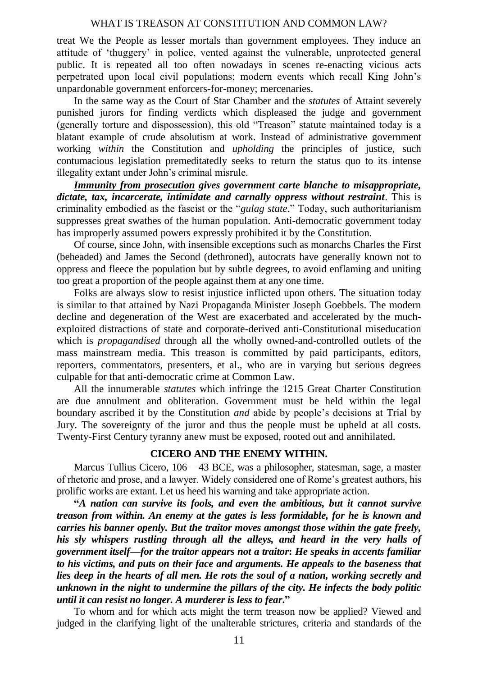treat We the People as lesser mortals than government employees. They induce an attitude of 'thuggery' in police, vented against the vulnerable, unprotected general public. It is repeated all too often nowadays in scenes re-enacting vicious acts perpetrated upon local civil populations; modern events which recall King John's unpardonable government enforcers-for-money; mercenaries.

In the same way as the Court of Star Chamber and the *statutes* of Attaint severely punished jurors for finding verdicts which displeased the judge and government (generally torture and dispossession), this old "Treason" statute maintained today is a blatant example of crude absolutism at work. Instead of administrative government working *within* the Constitution and *upholding* the principles of justice, such contumacious legislation premeditatedly seeks to return the status quo to its intense illegality extant under John's criminal misrule.

*Immunity from prosecution gives government carte blanche to misappropriate, dictate, tax, incarcerate, intimidate and carnally oppress without restraint*. This is criminality embodied as the fascist or the "*gulag state*." Today, such authoritarianism suppresses great swathes of the human population. Anti-democratic government today has improperly assumed powers expressly prohibited it by the Constitution.

Of course, since John, with insensible exceptions such as monarchs Charles the First (beheaded) and James the Second (dethroned), autocrats have generally known not to oppress and fleece the population but by subtle degrees, to avoid enflaming and uniting too great a proportion of the people against them at any one time.

Folks are always slow to resist injustice inflicted upon others. The situation today is similar to that attained by Nazi Propaganda Minister Joseph Goebbels. The modern decline and degeneration of the West are exacerbated and accelerated by the muchexploited distractions of state and corporate-derived anti-Constitutional miseducation which is *propagandised* through all the wholly owned-and-controlled outlets of the mass mainstream media. This treason is committed by paid participants, editors, reporters, commentators, presenters, et al., who are in varying but serious degrees culpable for that anti-democratic crime at Common Law.

All the innumerable *statutes* which infringe the 1215 Great Charter Constitution are due annulment and obliteration. Government must be held within the legal boundary ascribed it by the Constitution *and* abide by people's decisions at Trial by Jury. The sovereignty of the juror and thus the people must be upheld at all costs. Twenty-First Century tyranny anew must be exposed, rooted out and annihilated.

## **CICERO AND THE ENEMY WITHIN.**

Marcus Tullius Cicero, 106 – 43 BCE, was a philosopher, statesman, sage, a master of rhetoric and prose, and a lawyer. Widely considered one of Rome's greatest authors, his prolific works are extant. Let us heed his warning and take appropriate action.

**"***A nation can survive its fools, and even the ambitious, but it cannot survive treason from within. An enemy at the gates is less formidable, for he is known and carries his banner openly. But the traitor moves amongst those within the gate freely, his sly whispers rustling through all the alleys, and heard in the very halls of government itself—for the traitor appears not a traitor***:** *He speaks in accents familiar to his victims, and puts on their face and arguments. He appeals to the baseness that lies deep in the hearts of all men. He rots the soul of a nation, working secretly and unknown in the night to undermine the pillars of the city. He infects the body politic until it can resist no longer. A murderer is less to fear***."**

To whom and for which acts might the term treason now be applied? Viewed and judged in the clarifying light of the unalterable strictures, criteria and standards of the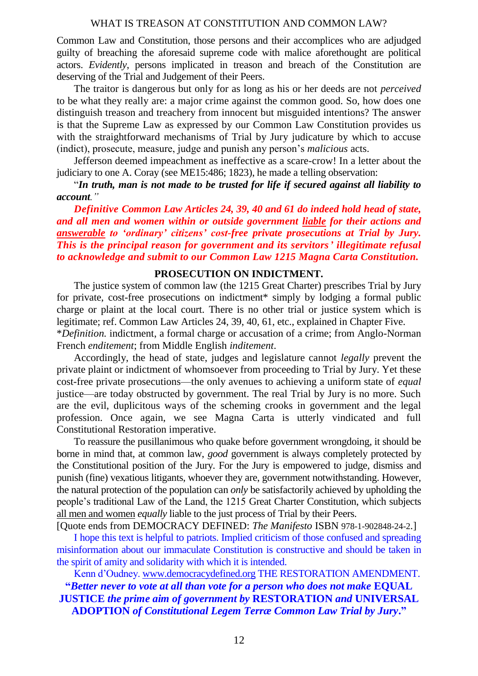Common Law and Constitution, those persons and their accomplices who are adjudged guilty of breaching the aforesaid supreme code with malice aforethought are political actors. *Evidently*, persons implicated in treason and breach of the Constitution are deserving of the Trial and Judgement of their Peers.

The traitor is dangerous but only for as long as his or her deeds are not *perceived* to be what they really are: a major crime against the common good. So, how does one distinguish treason and treachery from innocent but misguided intentions? The answer is that the Supreme Law as expressed by our Common Law Constitution provides us with the straightforward mechanisms of Trial by Jury judicature by which to accuse (indict), prosecute, measure, judge and punish any person's *malicious* acts.

Jefferson deemed impeachment as ineffective as a scare-crow! In a letter about the judiciary to one A. Coray (see ME15:486; 1823), he made a telling observation:

"*In truth, man is not made to be trusted for life if secured against all liability to account."*

*Definitive Common Law Articles 24, 39, 40 and 61 do indeed hold head of state, and all men and women within or outside government liable for their actions and answerable to 'ordinary' citizens' cost-free private prosecutions at Trial by Jury. This is the principal reason for government and its servitors' illegitimate refusal to acknowledge and submit to our Common Law 1215 Magna Carta Constitution.*

### **PROSECUTION ON INDICTMENT.**

The justice system of common law (the 1215 Great Charter) prescribes Trial by Jury for private, cost-free prosecutions on indictment\* simply by lodging a formal public charge or plaint at the local court. There is no other trial or justice system which is legitimate; ref. Common Law Articles 24, 39, 40, 61, etc., explained in Chapter Five. \**Definition.* indictment, a formal charge or accusation of a crime; from Anglo-Norman French *enditement*; from Middle English *inditement*.

Accordingly, the head of state, judges and legislature cannot *legally* prevent the private plaint or indictment of whomsoever from proceeding to Trial by Jury. Yet these cost-free private prosecutions—the only avenues to achieving a uniform state of *equal* justice—are today obstructed by government. The real Trial by Jury is no more. Such are the evil, duplicitous ways of the scheming crooks in government and the legal profession. Once again, we see Magna Carta is utterly vindicated and full Constitutional Restoration imperative.

To reassure the pusillanimous who quake before government wrongdoing, it should be borne in mind that, at common law, *good* government is always completely protected by the Constitutional position of the Jury. For the Jury is empowered to judge, dismiss and punish (fine) vexatious litigants, whoever they are, government notwithstanding. However, the natural protection of the population can *only* be satisfactorily achieved by upholding the people's traditional Law of the Land, the 1215 Great Charter Constitution, which subjects all men and women *equally* liable to the just process of Trial by their Peers.

[Quote ends from DEMOCRACY DEFINED: *The Manifesto* ISBN 978-1-902848-24-2.]

I hope this text is helpful to patriots. Implied criticism of those confused and spreading misinformation about our immaculate Constitution is constructive and should be taken in the spirit of amity and solidarity with which it is intended.

Kenn d'Oudney. [www.democracydefined.org](http://www.democracydefined.org/) THE RESTORATION AMENDMENT. **"***Better never to vote at all than vote for a person who does not make* **EQUAL JUSTICE** *the prime aim of government by* **RESTORATION** *and* **UNIVERSAL ADOPTION** *of Constitutional Legem Terræ Common Law Trial by Jury***."**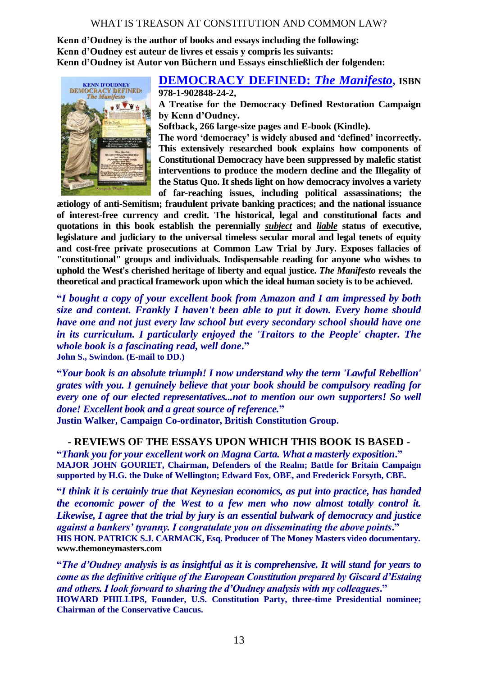**Kenn d'Oudney is the author of books and essays including the following: Kenn d'Oudney est auteur de livres et essais y compris les suivants: Kenn d'Oudney ist Autor von Büchern und Essays einschließlich der folgenden:**



#### **[DEMOCRACY DEFINED:](http://www.amazon.co.uk/Democracy-Defined-Manifesto-Kenn-dOudney/dp/1902848241/)** *The Manifesto***, ISBN 978-1-902848-24-2,**

**A Treatise for the Democracy Defined Restoration Campaign by Kenn d'Oudney.** 

**Softback, 266 large-size pages and E-book (Kindle).**

**The word 'democracy' is widely abused and 'defined' incorrectly. This extensively researched book explains how components of Constitutional Democracy have been suppressed by malefic statist interventions to produce the modern decline and the Illegality of the Status Quo. It sheds light on how democracy involves a variety of far-reaching issues, including political assassinations; the** 

**ætiology of anti-Semitism; fraudulent private banking practices; and the national issuance of interest-free currency and credit. The historical, legal and constitutional facts and quotations in this book establish the perennially** *subject* **and** *liable* **status of executive, legislature and judiciary to the universal timeless secular moral and legal tenets of equity and cost-free private prosecutions at Common Law Trial by Jury. Exposes fallacies of "constitutional" groups and individuals. Indispensable reading for anyone who wishes to uphold the West's cherished heritage of liberty and equal justice.** *The Manifesto* **reveals the theoretical and practical framework upon which the ideal human society is to be achieved.**

**"***I bought a copy of your excellent book from Amazon and I am impressed by both size and content. Frankly I haven't been able to put it down. Every home should have one and not just every law school but every secondary school should have one in its curriculum. I particularly enjoyed the 'Traitors to the People' chapter. The whole book is a fascinating read, well done***." John S., Swindon. (E-mail to DD.)**

**"***Your book is an absolute triumph! I now understand why the term 'Lawful Rebellion' grates with you. I genuinely believe that your book should be compulsory reading for every one of our elected representatives...not to mention our own supporters! So well done! Excellent book and a great source of reference.***"**

**Justin Walker, Campaign Co-ordinator, British Constitution Group.**

## **- REVIEWS OF THE ESSAYS UPON WHICH THIS BOOK IS BASED -**

**"***Thank you for your excellent work on Magna Carta. What a masterly exposition***." MAJOR JOHN GOURIET, Chairman, Defenders of the Realm; Battle for Britain Campaign supported by H.G. the Duke of Wellington; Edward Fox, OBE, and Frederick Forsyth, CBE.**

**"***I think it is certainly true that Keynesian economics, as put into practice, has handed the economic power of the West to a few men who now almost totally control it. Likewise, I agree that the trial by jury is an essential bulwark of democracy and justice against a bankers' tyranny. I congratulate you on disseminating the above points***." HIS HON. PATRICK S.J. CARMACK, Esq. Producer of The Money Masters video documentary. www.themoneymasters.com**

**"***The d'Oudney analysis is as insightful as it is comprehensive. It will stand for years to come as the definitive critique of the European Constitution prepared by Giscard d'Estaing and others. I look forward to sharing the d'Oudney analysis with my colleagues***." HOWARD PHILLIPS, Founder, U.S. Constitution Party, three-time Presidential nominee; Chairman of the Conservative Caucus.**